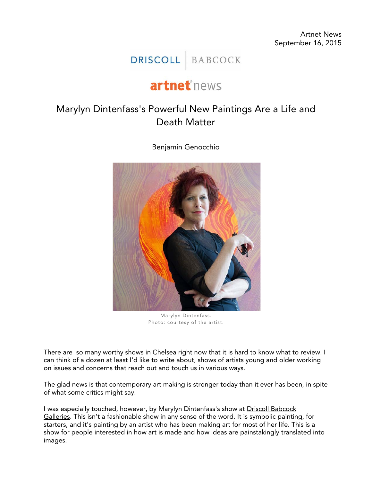Artnet News September 16, 2015

## DRISCOLL BABCOCK

## artnet<sup>\*</sup>news

## Marylyn Dintenfass's Powerful New Paintings Are a Life and Death Matter

Benjamin Genocchio



Marylyn Dintenfass. Photo: courtesy of the artist.

There are so many worthy shows in Chelsea right now that it is hard to know what to review. I can think of a dozen at least I'd like to write about, shows of artists young and older working on issues and concerns that reach out and touch us in various ways.

The glad news is that contemporary art making is stronger today than it ever has been, in spite of what some critics might say.

I was especially touched, however, by Marylyn Dintenfass's show at [Driscoll Babcock](http://www.artnet.com/galleries/driscoll-babcock-galleries/)  [Galleries.](http://www.artnet.com/galleries/driscoll-babcock-galleries/) This isn't a fashionable show in any sense of the word. It is symbolic painting, for starters, and it's painting by an artist who has been making art for most of her life. This is a show for people interested in how art is made and how ideas are painstakingly translated into images.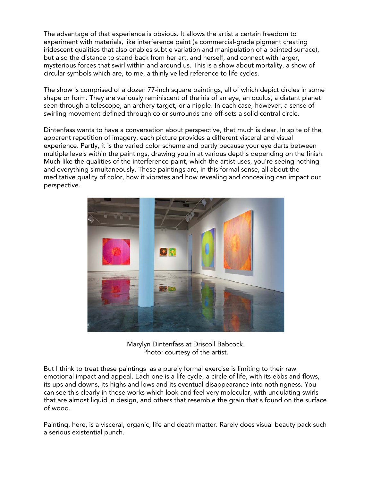The advantage of that experience is obvious. It allows the artist a certain freedom to experiment with materials, like interference paint (a commercial-grade pigment creating iridescent qualities that also enables subtle variation and manipulation of a painted surface), but also the distance to stand back from her art, and herself, and connect with larger, mysterious forces that swirl within and around us. This is a show about mortality, a show of circular symbols which are, to me, a thinly veiled reference to life cycles.

The show is comprised of a dozen 77-inch square paintings, all of which depict circles in some shape or form. They are variously reminiscent of the iris of an eye, an oculus, a distant planet seen through a telescope, an archery target, or a nipple. In each case, however, a sense of swirling movement defined through color surrounds and off-sets a solid central circle.

Dintenfass wants to have a conversation about perspective, that much is clear. In spite of the apparent repetition of imagery, each picture provides a different visceral and visual experience. Partly, it is the varied color scheme and partly because your eye darts between multiple levels within the paintings, drawing you in at various depths depending on the finish. Much like the qualities of the interference paint, which the artist uses, you're seeing nothing and everything simultaneously. These paintings are, in this formal sense, all about the meditative quality of color, how it vibrates and how revealing and concealing can impact our perspective.



Marylyn Dintenfass at Driscoll Babcock. Photo: courtesy of the artist.

But I think to treat these paintings as a purely formal exercise is limiting to their raw emotional impact and appeal. Each one is a life cycle, a circle of life, with its ebbs and flows, its ups and downs, its highs and lows and its eventual disappearance into nothingness. You can see this clearly in those works which look and feel very molecular, with undulating swirls that are almost liquid in design, and others that resemble the grain that's found on the surface of wood.

Painting, here, is a visceral, organic, life and death matter. Rarely does visual beauty pack such a serious existential punch.